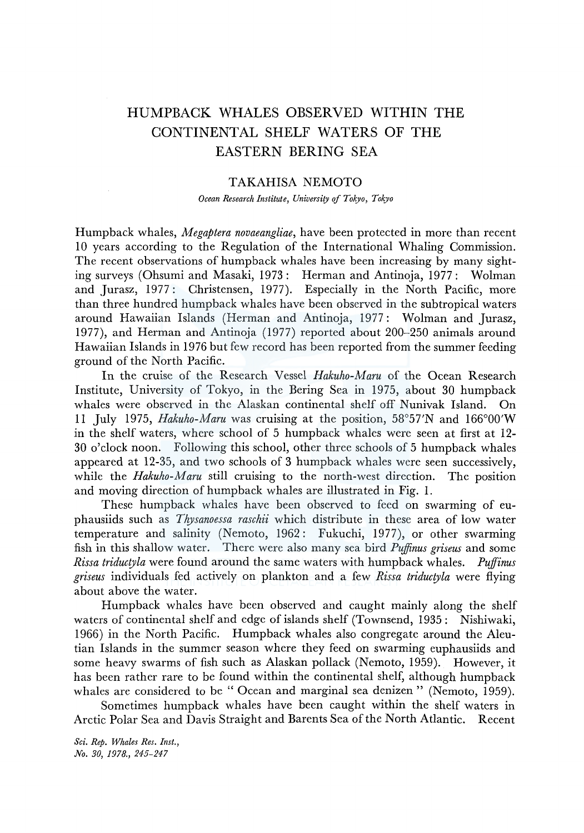## HUMPBACK WHALES OBSERVED WITHIN THE CONTINENTAL SHELF WATERS OF THE EASTERN BERING SEA

## TAKAHISA NEMOTO

*Ocean Research Institute, University of Tokyo, Tokyo* 

Humpback whales, *Megaptera novaeangliae,* have been protected in more than recent 10 years according to the Regulation of the International Whaling Commission. The recent observations of humpback whales have been increasing by many sighting surveys (Ohsumi and Masaki, 1973: Herman and Antinoja, 1977: Wolman and Jurasz, 1977: Christensen, 1977). Especially in the North Pacific, more than three hundred humpback whales have been observed in the subtropical waters around Hawaiian Islands (Herman and Antinoja, 1977: Wolman and Jurasz, 1977), and Herman and Antinoja (1977) reported about 200-250 animals around Hawaiian Islands in 1976 but few record has been reported from the summer feeding ground of the North Pacific.

In the cruise of the Research Vessel Hakuho-Maru of the Ocean Research Institute, University of Tokyo, in the Bering Sea in 1975, about 30 humpback whales were observed in the Alaskan continental shelf off Nunivak Island. On 11 July 1975, *Hakuho-Maru* was cruising at the position, 58°57'N and 166°00'W in the shelf waters, where school of 5 humpback whales were seen at first at 12- 30 o'clock noon. Following this school, other three schools of 5 humpback whales appeared at 12-35, and two schools of 3 humpback whales were seen successively, while the *Hakuho-Maru* still cruising to the north-west direction. The position and moving direction of humpback whales are illustrated in Fig. 1.

These humpback whales have been observed to feed on swarming of euphausiids such as *Thysanoessa raschii* which distribute in these area of low water temperature and salinity (Nemoto, 1962: Fukuchi, 1977), or other swarming fish in this shallow water. There were also many sea bird *Puifinus griseus* and some *Rissa triductyla* were found around the same waters with humpback whales. *Pujfinus griseus* individuals fed actively on plankton and a few *Rissa triductyla* were flying about above the water.

Humpback whales have been observed and caught mainly along the shelf waters of continental shelf and edge of islands shelf (Townsend, 1935: Nishiwaki, 1966) in the North Pacific. Humpback whales also congregate around the Aleutian Islands in the summer season where they feed on swarming euphausiids and some heavy swarms of fish such as Alaskan pollack (Nemoto, 1959). However, it has been rather rare to be found within the continental shelf, although humpback whales are considered to be "Ocean and marginal sea denizen" (Nemoto, 1959).

Sometimes humpback whales have been caught within the shelf waters in Arctic Polar Sea and Davis Straight and Barents Sea of the North Atlantic. Recent

*Sci. Rep. Whales Res. Inst., No. 30, 1978., 245-247*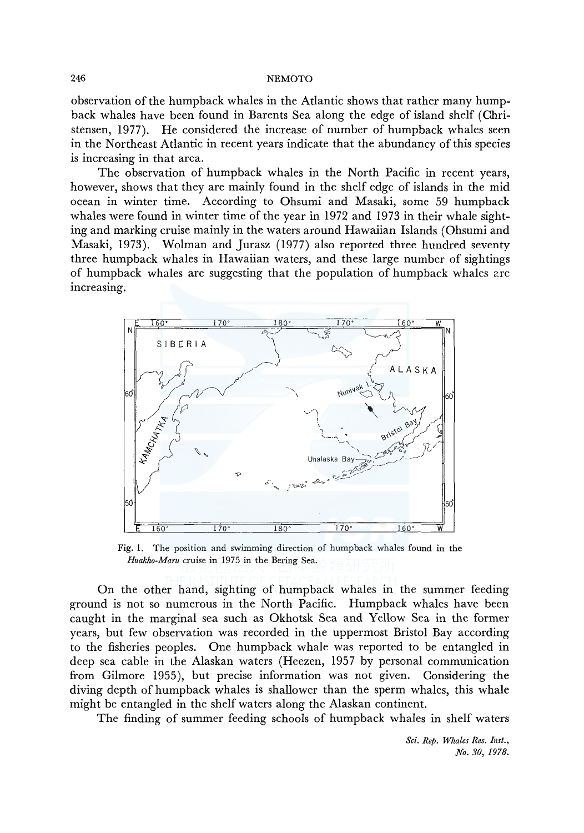observation of the humpback whales in the Atlantic shows that rather many humpback whales have been found in Barents Sea along the edge of island shelf (Christensen, 1977). He considered the increase of number of humpback whales seen in the Northeast Atlantic in recent years indicate that the abundancy of this species is increasing in that area.

The observation of humpback whales in the North Pacific in recent years, however, shows that they are mainly found in the shelf edge of islands in the mid ocean in winter time. According to Ohsumi and Masaki, some 59 humpback whales were found in winter time of the year in 1972 and 1973 in their whale sighting and marking cruise mainly in the waters around Hawaiian Islands (Ohsumi and Masaki, 1973). Wolman and Jurasz (1977) also reported three hundred seventy three humpback whales in Hawaiian waters, and these large number of sightings of humpback whales are suggesting that the population of humpback whales are increasing.



Fig. 1. The position and swimming direction of humpback whales found in the *Huakho-Maru* cruise in 1975 in the Bering Sea.

On the other hand, sighting of humpback whales in the summer feeding ground is not so numerous in the North Pacific. Humpback whales have been caught in the marginal sea such as Okhotsk Sea and Yellow Sea in the former years, but few observation was recorded in the uppermost Bristol Bay according to the fisheries peoples. One humpback whale was reported to be entangled in deep sea cable in the Alaskan waters (Heezen, 1957 by personal communication from Gilmore 1955), but precise information was not given. Considering the diving depth of humpback whales is shallower than the sperm whales, this whale might be entangled in the shelf waters along the Alaskan continent.

The finding of summer feeding schools of humpback whales in shelf waters

*Sci. Rep. Whales Res. Inst., .No. 30, 1978.*